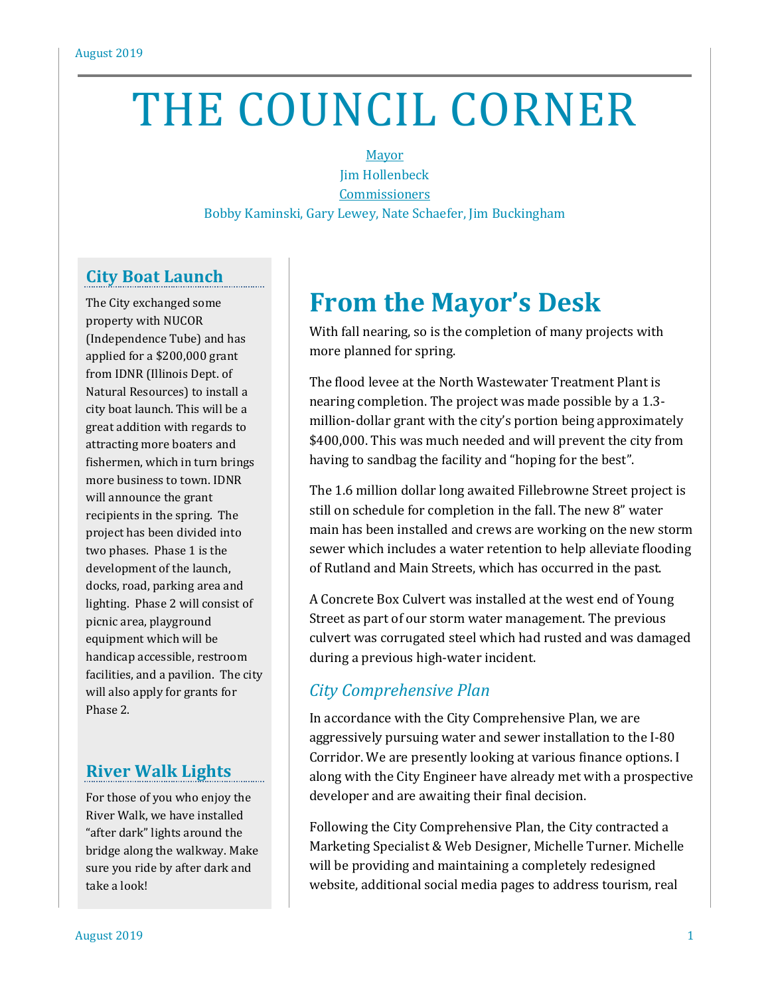# THE COUNCIL CORNER

Mayor Jim Hollenbeck **Commissioners** Bobby Kaminski, Gary Lewey, Nate Schaefer, Jim Buckingham

## **City Boat Launch**

The City exchanged some property with NUCOR (Independence Tube) and has applied for a \$200,000 grant from IDNR (Illinois Dept. of Natural Resources) to install a city boat launch. This will be a great addition with regards to attracting more boaters and fishermen, which in turn brings more business to town. IDNR will announce the grant recipients in the spring. The project has been divided into two phases. Phase 1 is the development of the launch, docks, road, parking area and lighting. Phase 2 will consist of picnic area, playground equipment which will be handicap accessible, restroom facilities, and a pavilion. The city will also apply for grants for Phase 2.

## **River Walk Lights**

For those of you who enjoy the River Walk, we have installed "after dark" lights around the bridge along the walkway. Make sure you ride by after dark and take a look!

# **From the Mayor's Desk**

With fall nearing, so is the completion of many projects with more planned for spring.

The flood levee at the North Wastewater Treatment Plant is nearing completion. The project was made possible by a 1.3 million-dollar grant with the city's portion being approximately \$400,000. This was much needed and will prevent the city from having to sandbag the facility and "hoping for the best".

The 1.6 million dollar long awaited Fillebrowne Street project is still on schedule for completion in the fall. The new 8" water main has been installed and crews are working on the new storm sewer which includes a water retention to help alleviate flooding of Rutland and Main Streets, which has occurred in the past.

A Concrete Box Culvert was installed at the west end of Young Street as part of our storm water management. The previous culvert was corrugated steel which had rusted and was damaged during a previous high-water incident.

# *City Comprehensive Plan*

In accordance with the City Comprehensive Plan, we are aggressively pursuing water and sewer installation to the I-80 Corridor. We are presently looking at various finance options. I along with the City Engineer have already met with a prospective developer and are awaiting their final decision.

Following the City Comprehensive Plan, the City contracted a Marketing Specialist & Web Designer, Michelle Turner. Michelle will be providing and maintaining a completely redesigned website, additional social media pages to address tourism, real